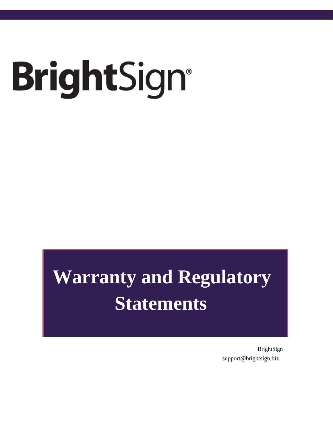# BrightSign®

# **Warranty and Regulatory Statements**

BrightSign support@brightsign.biz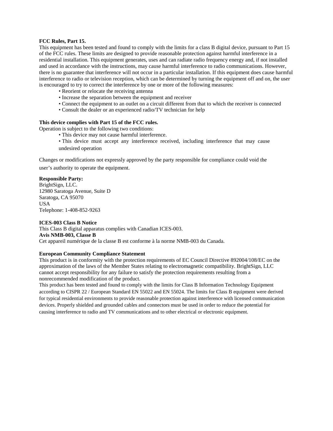### **FCC Rules, Part 15.**

This equipment has been tested and found to comply with the limits for a class B digital device, pursuant to Part 15 of the FCC rules. These limits are designed to provide reasonable protection against harmful interference in a residential installation. This equipment generates, uses and can radiate radio frequency energy and, if not installed and used in accordance with the instructions, may cause harmful interference to radio communications. However, there is no guarantee that interference will not occur in a particular installation. If this equipment does cause harmful interference to radio or television reception, which can be determined by turning the equipment off and on, the user is encouraged to try to correct the interference by one or more of the following measures:

- Reorient or relocate the receiving antenna
- Increase the separation between the equipment and receiver
- Connect the equipment to an outlet on a circuit different from that to which the receiver is connected
- Consult the dealer or an experienced radio/TV technician for help

### **This device complies with Part 15 of the FCC rules.**

Operation is subject to the following two conditions:

- This device may not cause harmful interference.
- This device must accept any interference received, including interference that may cause undesired operation

Changes or modifications not expressly approved by the party responsible for compliance could void the

user's authority to operate the equipment.

## **Responsible Party:**

BrightSign, LLC. 12980 Saratoga Avenue, Suite D Saratoga, CA 95070 USA Telephone: 1-408-852-9263

# **ICES-003 Class B Notice**

This Class B digital apparatus complies with Canadian ICES-003. **Avis NMB-003, Classe B** Cet appareil numérique de la classe B est conforme à la norme NMB-003 du Canada.

### **European Community Compliance Statement**

This product is in conformity with the protection requirements of EC Council Directive 892004/108/EC on the approximation of the laws of the Member States relating to electromagnetic compatibility. BrightSign, LLC cannot accept responsibility for any failure to satisfy the protection requirements resulting from a nonrecommended modification of the product.

This product has been tested and found to comply with the limits for Class B Information Technology Equipment according to CISPR 22 / European Standard EN 55022 and EN 55024. The limits for Class B equipment were derived for typical residential environments to provide reasonable protection against interference with licensed communication devices. Properly shielded and grounded cables and connectors must be used in order to reduce the potential for causing interference to radio and TV communications and to other electrical or electronic equipment.